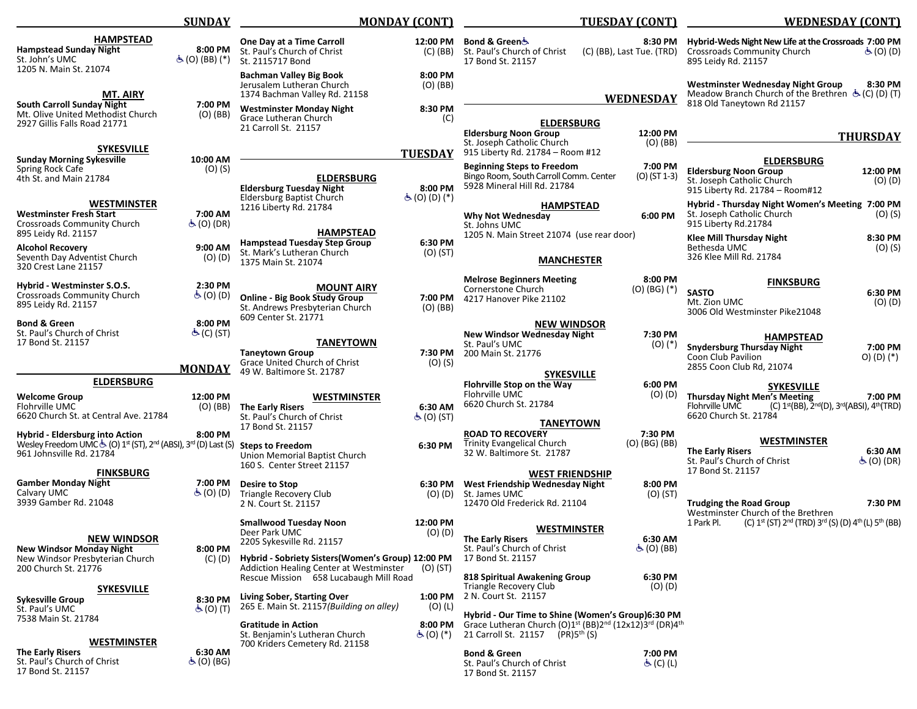|                                                                                                                                                                                                         | <b>SUNDAY</b>                               | <b>MONDAY (CONT)</b>                                                                                                                                                         |                                         | TUESDAY (CONT)                                                                                                                                                                                   |                                         | <b>WEDNESDAY (CONT)</b>                                                                                                                |                                                                                                         |
|---------------------------------------------------------------------------------------------------------------------------------------------------------------------------------------------------------|---------------------------------------------|------------------------------------------------------------------------------------------------------------------------------------------------------------------------------|-----------------------------------------|--------------------------------------------------------------------------------------------------------------------------------------------------------------------------------------------------|-----------------------------------------|----------------------------------------------------------------------------------------------------------------------------------------|---------------------------------------------------------------------------------------------------------|
| <b>HAMPSTEAD</b><br><b>Hampstead Sunday Night</b><br>St. John's UMC<br>1205 N. Main St. 21074                                                                                                           | 8:00 PM<br>$\dot{\mathcal{F}}$ (O) (BB) (*) | One Day at a Time Carroll<br>St. Paul's Church of Christ<br>St. 2115717 Bond                                                                                                 | 12:00 PM                                | Bond & Greenර්<br>(C) (BB) St. Paul's Church of Christ<br>17 Bond St. 21157                                                                                                                      | 8:30 PM<br>(C) (BB), Last Tue. (TRD)    | Hybrid-Weds Night New Life at the Crossroads 7:00 PM<br><b>Crossroads Community Church</b><br>895 Leidy Rd. 21157                      | $\mathfrak{S}(O)$ (D)                                                                                   |
| MT. AIRY<br><b>South Carroll Sunday Night</b>                                                                                                                                                           | 7:00 PM                                     | <b>Bachman Valley Big Book</b><br>Jerusalem Lutheran Church<br>1374 Bachman Valley Rd. 21158                                                                                 | 8:00 PM<br>$(O)$ (BB)<br>8:30 PM        |                                                                                                                                                                                                  | <b>WEDNESDAY</b>                        | Westminster Wednesday Night Group<br>Meadow Branch Church of the Brethren $\dot{\mathbf{G}}$ (C) (D) (T)<br>818 Old Taneytown Rd 21157 | 8:30 PM                                                                                                 |
| Mt. Olive United Methodist Church<br>2927 Gillis Falls Road 21771                                                                                                                                       | (O) (BB)                                    | <b>Westminster Monday Night</b><br>Grace Lutheran Church<br>21 Carroll St. 21157                                                                                             | (C)                                     | <b>ELDERSBURG</b><br><b>Eldersburg Noon Group</b>                                                                                                                                                | 12:00 PM                                |                                                                                                                                        | <b>THURSDAY</b>                                                                                         |
| <b>SYKESVILLE</b>                                                                                                                                                                                       |                                             |                                                                                                                                                                              | <b>TUESDAY</b>                          | St. Joseph Catholic Church<br>915 Liberty Rd. 21784 - Room #12                                                                                                                                   | $(O)$ (BB)                              |                                                                                                                                        |                                                                                                         |
| <b>Sunday Morning Sykesville</b><br>Spring Rock Cafe<br>4th St. and Main 21784                                                                                                                          | 10:00 AM<br>$(O)$ (S)                       | <b>ELDERSBURG</b><br><b>Eldersburg Tuesday Night</b>                                                                                                                         | 8:00 PM                                 | <b>Beginning Steps to Freedom</b><br>Bingo Room, South Carroll Comm. Center<br>5928 Mineral Hill Rd. 21784                                                                                       | 7:00 PM<br>(O) (ST 1-3)                 | <b>ELDERSBURG</b><br><b>Eldersburg Noon Group</b><br>St. Joseph Catholic Church<br>915 Liberty Rd. 21784 - Room#12                     | 12:00 PM<br>$(O)$ $(D)$                                                                                 |
| <b>WESTMINSTER</b><br><b>Westminster Fresh Start</b><br><b>Crossroads Community Church</b>                                                                                                              | 7:00 AM<br>க் (O) (DR)                      | <b>Eldersburg Baptist Church</b><br>1216 Liberty Rd. 21784                                                                                                                   | $\dot{S}$ (O) (D) (*)                   | <b>HAMPSTEAD</b><br><b>Why Not Wednesday</b><br>St. Johns UMC                                                                                                                                    | 6:00 PM                                 | Hybrid - Thursday Night Women's Meeting 7:00 PM<br>St. Joseph Catholic Church<br>915 Liberty Rd.21784                                  | $(O)$ (S)                                                                                               |
| 895 Leidy Rd. 21157<br><b>Alcohol Recovery</b><br>Seventh Day Adventist Church<br>320 Crest Lane 21157                                                                                                  | 9:00 AM<br>$(O)$ $(D)$                      | <b>HAMPSTEAD</b><br><b>Hampstead Tuesday Step Group</b><br>St. Mark's Lutheran Church<br>1375 Main St. 21074                                                                 | 6:30 PM<br>(O) (ST)                     | 1205 N. Main Street 21074 (use rear door)<br><b>MANCHESTER</b>                                                                                                                                   |                                         | <b>Klee Mill Thursday Night</b><br>Bethesda UMC<br>326 Klee Mill Rd. 21784                                                             | 8:30 PM<br>(O) (S)                                                                                      |
| Hybrid - Westminster S.O.S.<br><b>Crossroads Community Church</b><br>895 Leidy Rd. 21157                                                                                                                | 2:30 PM<br>$\dot{\mathcal{F}}$ (O) (D)      | <b>MOUNT AIRY</b><br><b>Online - Big Book Study Group</b><br>St. Andrews Presbyterian Church                                                                                 | 7:00 PM<br>$(O)$ (BB)                   | <b>Melrose Beginners Meeting</b><br>Cornerstone Church<br>4217 Hanover Pike 21102                                                                                                                | 8:00 PM<br>$(O)$ (BG) $(*)$             | <b>FINKSBURG</b><br><b>SASTO</b><br>Mt. Zion UMC<br>3006 Old Westminster Pike21048                                                     | 6:30 PM<br>$(O)$ $(D)$                                                                                  |
| <b>Bond &amp; Green</b><br>St. Paul's Church of Christ<br>17 Bond St. 21157                                                                                                                             | 8:00 PM<br>යි (C) (ST)                      | 609 Center St. 21771<br><b>TANEYTOWN</b><br><b>Taneytown Group</b>                                                                                                           | 7:30 PM                                 | <b>NEW WINDSOR</b><br><b>New Windsor Wednesday Night</b><br>St. Paul's UMC<br>200 Main St. 21776                                                                                                 | 7:30 PM<br>$(0)$ $(*)$                  | <b>HAMPSTEAD</b><br><b>Snydersburg Thursday Night</b>                                                                                  | 7:00 PM                                                                                                 |
|                                                                                                                                                                                                         | <b>MONDAY</b>                               | Grace United Church of Christ<br>49 W. Baltimore St. 21787                                                                                                                   | $(O)$ (S)                               |                                                                                                                                                                                                  |                                         | Coon Club Pavilion<br>2855 Coon Club Rd, 21074                                                                                         | O) (D) (*)                                                                                              |
| <b>ELDERSBURG</b>                                                                                                                                                                                       |                                             |                                                                                                                                                                              |                                         | <b>SYKESVILLE</b><br>Flohrville Stop on the Way                                                                                                                                                  | 6:00 PM                                 | <b>SYKESVILLE</b>                                                                                                                      |                                                                                                         |
| <b>Welcome Group</b><br>Flohrville UMC<br>6620 Church St. at Central Ave. 21784                                                                                                                         | 12:00 PM<br>(O) (BB)                        | <b>WESTMINSTER</b><br><b>The Early Risers</b><br>St. Paul's Church of Christ<br>17 Bond St. 21157                                                                            | 6:30 AM<br>$\dot{\mathcal{F}}$ (O) (ST) | Flohrville UMC<br>6620 Church St. 21784<br><b>TANEYTOWN</b>                                                                                                                                      | (O) (D)                                 | <b>Thursday Night Men's Meeting</b><br>Flohrville UMC<br>6620 Church St. 21784                                                         | 7:00 PM<br>(C) 1 <sup>st</sup> (BB), 2 <sup>nd</sup> (D), 3 <sup>rd</sup> (ABSI), 4 <sup>th</sup> (TRD) |
| Hybrid - Eldersburg into Action<br>Wesley Freedom UMC & (O) 1 <sup>st</sup> (ST), 2 <sup>nd</sup> (ABSI), 3 <sup>rd</sup> (D) Last (S) Steps to Freedom<br>961 Johnsville Rd. 21784<br><b>FINKSBURG</b> | 8:00 PM                                     | Union Memorial Baptist Church<br>160 S. Center Street 21157                                                                                                                  | 6:30 PM                                 | <b>ROAD TO RECOVERY</b><br><b>Trinity Evangelical Church</b><br>32 W. Baltimore St. 21787<br><b>WEST FRIENDSHIP</b>                                                                              | 7:30 PM<br>$(O)$ (BG) (BB)              | <b>WESTMINSTER</b><br><b>The Early Risers</b><br>St. Paul's Church of Christ<br>17 Bond St. 21157                                      | 6:30 AM<br>$\dot{\mathfrak{S}}$ (O) (DR)                                                                |
| <b>Gamber Monday Night</b><br>Calvary UMC<br>3939 Gamber Rd. 21048                                                                                                                                      | 7:00 PM<br>$\dot{\mathcal{F}}$ (O) (D)      | Desire to Stop<br>Triangle Recovery Club<br>2 N. Court St. 21157                                                                                                             | 6:30 PM                                 | West Friendship Wednesday Night<br>(O) (D) St. James UMC<br>12470 Old Frederick Rd. 21104                                                                                                        | 8:00 PM<br>$(O)$ (ST)                   | <b>Trudging the Road Group</b><br>Westminster Church of the Brethren                                                                   | 7:30 PM                                                                                                 |
| <b>NEW WINDSOR</b><br><b>New Windsor Monday Night</b><br>New Windsor Presbyterian Church<br>200 Church St. 21776                                                                                        | 8:00 PM<br>$(C)$ $(D)$                      | <b>Smallwood Tuesday Noon</b><br>Deer Park UMC<br>2205 Sykesville Rd. 21157<br>Hybrid - Sobriety Sisters (Women's Group) 12:00 PM<br>Addiction Healing Center at Westminster | 12:00 PM<br>$(O)$ $(D)$<br>$(O)$ (ST)   | <b>WESTMINSTER</b><br><b>The Early Risers</b><br>St. Paul's Church of Christ<br>17 Bond St. 21157                                                                                                | 6:30 AM<br>$\dot{\mathcal{F}}$ (O) (BB) | 1 Park Pl.<br>(C) $1^{st}$ (ST) $2^{nd}$ (TRD) $3^{rd}$ (S) (D) $4^{th}$ (L) $5^{th}$ (BB)                                             |                                                                                                         |
| <b>SYKESVILLE</b><br><b>Sykesville Group</b>                                                                                                                                                            | 8:30 PM                                     | Rescue Mission 658 Lucabaugh Mill Road<br>Living Sober, Starting Over<br>265 E. Main St. 21157 (Building on alley)                                                           | 1:00 PM<br>$(O)$ (L)                    | 818 Spiritual Awakening Group<br>Triangle Recovery Club<br>2 N. Court St. 21157                                                                                                                  | 6:30 PM<br>(O) (D)                      |                                                                                                                                        |                                                                                                         |
| St. Paul's UMC<br>7538 Main St. 21784<br><b>WESTMINSTER</b>                                                                                                                                             | $\dot{\mathcal{F}}$ (O) (T)                 | <b>Gratitude in Action</b><br>St. Benjamin's Lutheran Church                                                                                                                 | 8:00 PM<br>$\mathfrak{S}(0)$ (*)        | Hybrid - Our Time to Shine (Women's Group)6:30 PM<br>Grace Lutheran Church (O)1 <sup>st</sup> (BB)2 <sup>nd</sup> (12x12)3 <sup>rd</sup> (DR)4 <sup>th</sup><br>21 Carroll St. 21157 (PR)5th (S) |                                         |                                                                                                                                        |                                                                                                         |
| <b>The Early Risers</b><br>St. Paul's Church of Christ<br>17 Bond St. 21157                                                                                                                             | 6:30 AM<br>$\dot{\mathcal{F}}$ (O) (BG)     | 700 Kriders Cemetery Rd. 21158                                                                                                                                               |                                         | <b>Bond &amp; Green</b><br>St. Paul's Church of Christ<br>17 Bond St. 21157                                                                                                                      | 7:00 PM<br>க் (C) (L)                   |                                                                                                                                        |                                                                                                         |